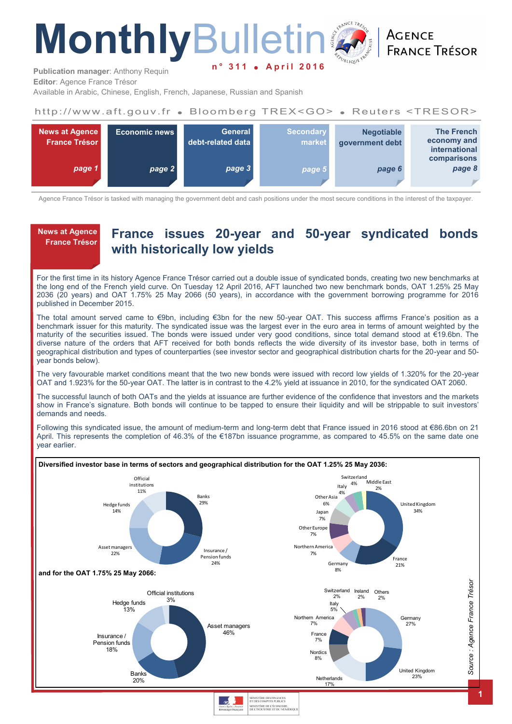# **Monthly**Bulletin **n ° 3 1 1 A p r i l 2 0 1 6**

**ACENCE FRANCE TRÉSOR** 

**Publication manager**: Anthony Requin **Editor**: Agence France Trésor

Available in Arabic, Chinese, English, French, Japanese, Russian and Spanish

### http://www.aft.gouv.fr . Bloomberg TREX<GO> . Reuters <TRESOR>



Agence France Trésor is tasked with managing the government debt and cash positions under the most secure conditions in the interest of the taxpayer.

#### **News at Agence France Trésor**

# **France issues 20-year and 50-year syndicated bonds with historically low yields**

For the first time in its history Agence France Trésor carried out a double issue of syndicated bonds, creating two new benchmarks at the long end of the French yield curve. On Tuesday 12 April 2016, AFT launched two new benchmark bonds, OAT 1.25% 25 May 2036 (20 years) and OAT 1.75% 25 May 2066 (50 years), in accordance with the government borrowing programme for 2016 published in December 2015.

The total amount served came to €9bn, including €3bn for the new 50-year OAT. This success affirms France's position as a benchmark issuer for this maturity. The syndicated issue was the largest ever in the euro area in terms of amount weighted by the maturity of the securities issued. The bonds were issued under very good conditions, since total demand stood at €19.6bn. The diverse nature of the orders that AFT received for both bonds reflects the wide diversity of its investor base, both in terms of geographical distribution and types of counterparties (see investor sector and geographical distribution charts for the 20-year and 50 year bonds below).

The very favourable market conditions meant that the two new bonds were issued with record low yields of 1.320% for the 20-year OAT and 1.923% for the 50-year OAT. The latter is in contrast to the 4.2% yield at issuance in 2010, for the syndicated OAT 2060.

The successful launch of both OATs and the yields at issuance are further evidence of the confidence that investors and the markets show in France's signature. Both bonds will continue to be tapped to ensure their liquidity and will be strippable to suit investors' demands and needs.

Following this syndicated issue, the amount of medium-term and long-term debt that France issued in 2016 stood at €86.6bn on 21 April. This represents the completion of 46.3% of the €187bn issuance programme, as compared to 45.5% on the same date one year earlier.

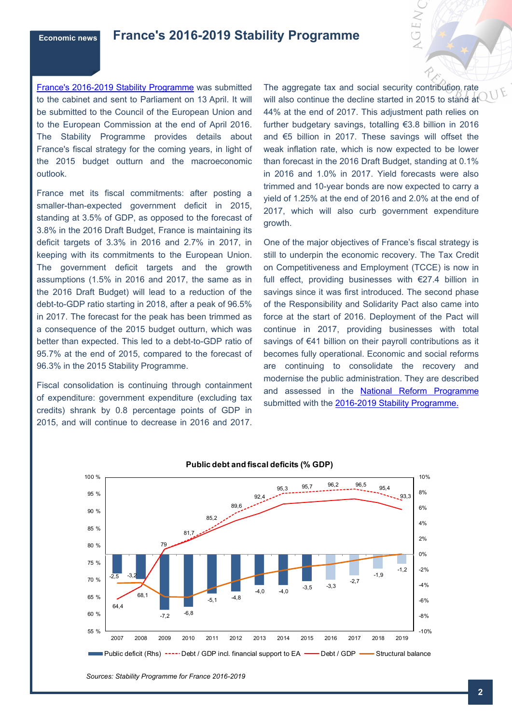## **Economic news France's 2016-2019 Stability Programme**

France's 2016-[2019 Stability Programme](http://www.economie.gouv.fr/programme-stabilite-2016-2019-tenir-les-engagements) was submitted to the cabinet and sent to Parliament on 13 April. It will be submitted to the Council of the European Union and to the European Commission at the end of April 2016. The Stability Programme provides details about France's fiscal strategy for the coming years, in light of the 2015 budget outturn and the macroeconomic outlook.

France met its fiscal commitments: after posting a smaller-than-expected government deficit in 2015, standing at 3.5% of GDP, as opposed to the forecast of 3.8% in the 2016 Draft Budget, France is maintaining its deficit targets of 3.3% in 2016 and 2.7% in 2017, in keeping with its commitments to the European Union. The government deficit targets and the growth assumptions (1.5% in 2016 and 2017, the same as in the 2016 Draft Budget) will lead to a reduction of the debt-to-GDP ratio starting in 2018, after a peak of 96.5% in 2017. The forecast for the peak has been trimmed as a consequence of the 2015 budget outturn, which was better than expected. This led to a debt-to-GDP ratio of 95.7% at the end of 2015, compared to the forecast of 96.3% in the 2015 Stability Programme.

Fiscal consolidation is continuing through containment of expenditure: government expenditure (excluding tax credits) shrank by 0.8 percentage points of GDP in 2015, and will continue to decrease in 2016 and 2017.

The aggregate tax and social security contribution rate will also continue the decline started in 2015 to stand at 44% at the end of 2017. This adjustment path relies on further budgetary savings, totalling €3.8 billion in 2016 and €5 billion in 2017. These savings will offset the weak inflation rate, which is now expected to be lower than forecast in the 2016 Draft Budget, standing at 0.1% in 2016 and 1.0% in 2017. Yield forecasts were also trimmed and 10-year bonds are now expected to carry a yield of 1.25% at the end of 2016 and 2.0% at the end of 2017, which will also curb government expenditure growth.

One of the major objectives of France's fiscal strategy is still to underpin the economic recovery. The Tax Credit on Competitiveness and Employment (TCCE) is now in full effect, providing businesses with €27.4 billion in savings since it was first introduced. The second phase of the Responsibility and Solidarity Pact also came into force at the start of 2016. Deployment of the Pact will continue in 2017, providing businesses with total savings of €41 billion on their payroll contributions as it becomes fully operational. Economic and social reforms are continuing to consolidate the recovery and modernise the public administration. They are described and assessed in the [National Reform Programme](http://proxy-pubminefi.diffusion.finances.gouv.fr/pub/document/18/20782.pdf) submitted with the 2016-[2019 Stability Programme.](http://www.economie.gouv.fr/files/files/PDF/PSTAB2016-Digest_english.pdf)



#### **Public debt and fiscal deficits (% GDP)**

*Sources: Stability Programme for France 2016-2019*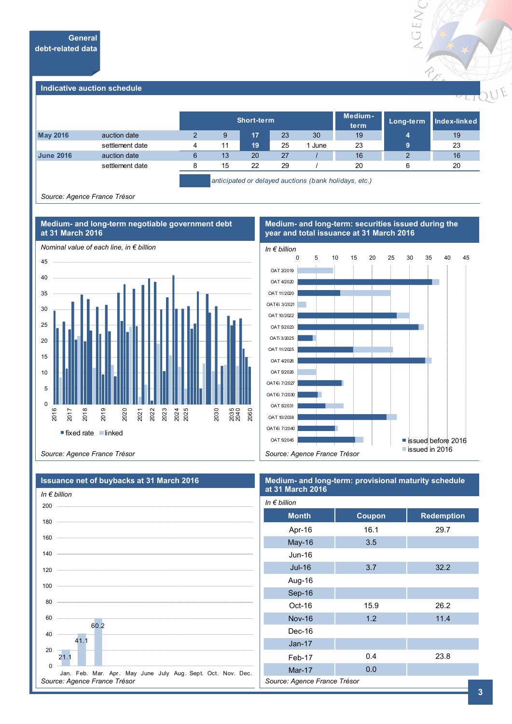

#### **Indicative auction schedule**

|                  |                 |               | <b>Short-term</b>                                     |    |    | Medium-<br>term | Long-term | Index-linked |    |
|------------------|-----------------|---------------|-------------------------------------------------------|----|----|-----------------|-----------|--------------|----|
| <b>May 2016</b>  | auction date    | $\mathcal{P}$ | 9                                                     | 17 | 23 | 30              | 19        | 4            | 19 |
|                  | settlement date | 4             | 11                                                    | 19 | 25 | June            | 23        | 9            | 23 |
| <b>June 2016</b> | auction date    | 6             | 13                                                    | 20 | 27 |                 | 16        |              | 16 |
|                  | settlement date | 8             | 15                                                    | 22 | 29 |                 | 20        | 6            | 20 |
|                  |                 |               | anticipated or delayed auctions (bank holidays, etc.) |    |    |                 |           |              |    |

*Source: Agence France Trésor*



# **Medium- and long-term negotiable government debt**

**Medium- and long-term: securities issued during the year and total issuance at 31 March 2016**



*Source: Agence France Trésor*

| Issuance net of buybacks at 31 March 2016<br>In $\epsilon$ billion      | Medium- and long-term: provisional maturity schedule<br>at 31 March 2016 |        |                   |  |  |  |
|-------------------------------------------------------------------------|--------------------------------------------------------------------------|--------|-------------------|--|--|--|
|                                                                         | In $\epsilon$ billion                                                    |        |                   |  |  |  |
|                                                                         | <b>Month</b>                                                             | Coupon | <b>Redemption</b> |  |  |  |
|                                                                         | Apr-16                                                                   | 16.1   | 29.7              |  |  |  |
|                                                                         | May-16                                                                   | 3.5    |                   |  |  |  |
| 140                                                                     | <b>Jun-16</b>                                                            |        |                   |  |  |  |
| 120                                                                     | $Jul-16$                                                                 | 3.7    | 32.2              |  |  |  |
| $100 -$                                                                 | Aug-16                                                                   |        |                   |  |  |  |
|                                                                         | Sep-16                                                                   |        |                   |  |  |  |
| 80                                                                      | Oct-16                                                                   | 15.9   | 26.2              |  |  |  |
| 60                                                                      | <b>Nov-16</b>                                                            | 1.2    | 11.4              |  |  |  |
| 60.2<br>40                                                              | Dec-16                                                                   |        |                   |  |  |  |
| 41.1                                                                    | <b>Jan-17</b>                                                            |        |                   |  |  |  |
| 20<br>21.1                                                              | Feb-17                                                                   | 0.4    | 23.8              |  |  |  |
| $\Omega$<br>Jan. Feb. Mar. Apr. May June July Aug. Sept. Oct. Nov. Dec. | Mar-17                                                                   | 0.0    |                   |  |  |  |
| Source: Agence France Trésor                                            | Source: Agence France Trésor                                             |        |                   |  |  |  |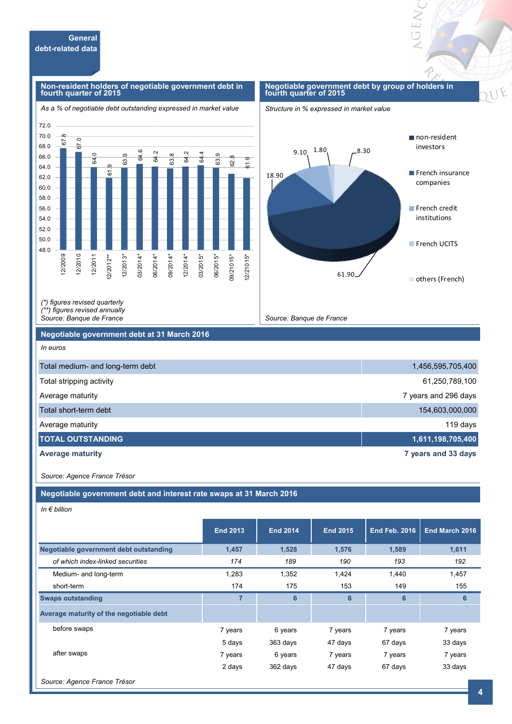#### **Non-resident holders of negotiable government debt in fourth quarter of 2015**





OEN



*Source: Banque de France*



*(\*) figures revised quarterly (\*\*) figures revised annually* 

*Source: Banque de France*

#### **Negotiable government debt at 31 March 2016**

*In euros*

| Total medium- and long-term debt | 1,456,595,705,400    |
|----------------------------------|----------------------|
| Total stripping activity         | 61,250,789,100       |
| Average maturity                 | 7 years and 296 days |
| Total short-term debt            | 154,603,000,000      |
| Average maturity                 | 119 days             |
| <b>TOTAL OUTSTANDING</b>         | 1,611,198,705,400    |
| <b>Average maturity</b>          | 7 years and 33 days  |

*Source: Agence France Trésor*

**Negotiable government debt and interest rate swaps at 31 March 2016**

| In $\epsilon$ billion                   |                 |                 |                 |                      |                |
|-----------------------------------------|-----------------|-----------------|-----------------|----------------------|----------------|
|                                         | <b>End 2013</b> | <b>End 2014</b> | <b>End 2015</b> | <b>End Feb. 2016</b> | End March 2016 |
| Negotiable government debt outstanding  | 1,457           | 1,528           | 1,576           | 1,589                | 1,611          |
| of which index-linked securities        | 174             | 189             | 190             | 193                  | 192            |
| Medium- and long-term                   | 1,283           | 1,352           | 1,424           | 1,440                | 1,457          |
| short-term                              | 174             | 175             | 153             | 149                  | 155            |
| <b>Swaps outstanding</b>                | $\overline{7}$  | 6               | 6               | $6\phantom{a}$       | 6              |
| Average maturity of the negotiable debt |                 |                 |                 |                      |                |
| before swaps                            | 7 years         | 6 years         | 7 years         | 7 years              | 7 years        |
|                                         | 5 days          | 363 days        | 47 days         | 67 days              | 33 days        |
| after swaps                             | 7 years         | 6 years         | 7 years         | 7 years              | 7 years        |
|                                         | 2 days          | 362 days        | 47 days         | 67 days              | 33 days        |
| Source: Agence France Trésor            |                 |                 |                 |                      |                |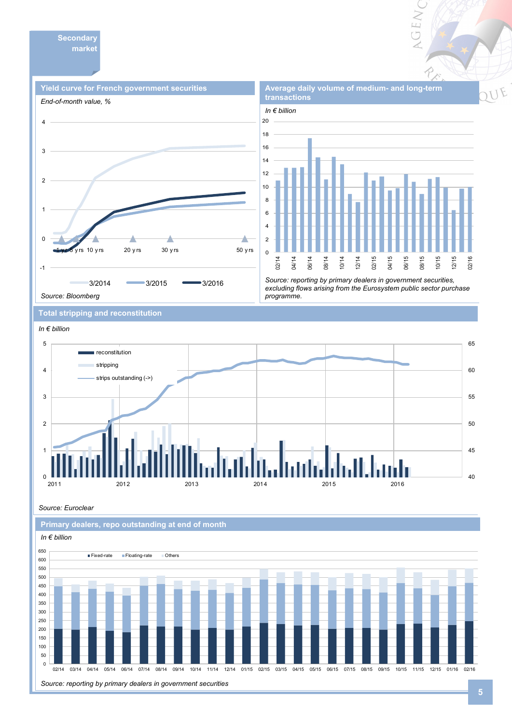



*Source: reporting by primary dealers in government securities, excluding flows arising from the Eurosystem public sector purchase programme.* 

**Total stripping and reconstitution** 



*In € billion*



*Source: Euroclear*





**Average daily volume of medium- and long-term** 

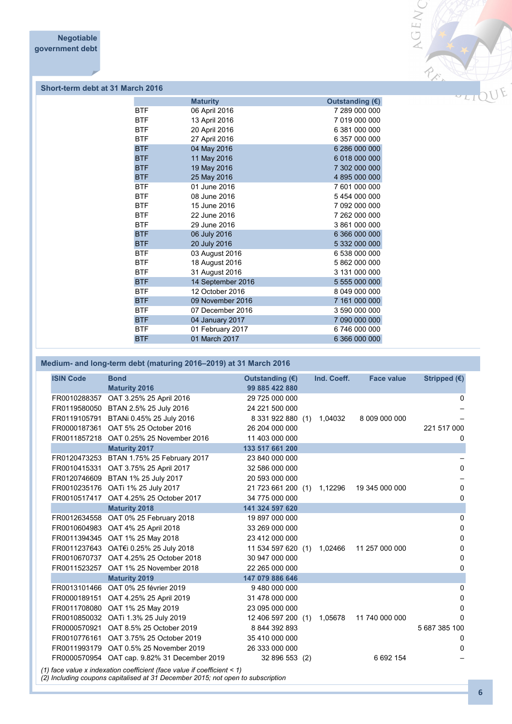**Short-term debt at 31 March 2016**



#### **Maturity Outstanding (€)** BTF 06 April 2016 7 289 000 000 BTF 13 April 2016 7 019 000 000 BTF 20 April 2016 6 381 000 000 BTF 27 April 2016 6 357 000 000 BTF 04 May 2016 6 286 000 000 BTF 11 May 2016 6018 000 000 BTF 19 May 2016 7 302 000 000 BTF 25 May 2016 2016 4 895 000 000 BTF 01 June 2016 7601 000 000 BTF 08 June 2016 5454 000 000 BTF 15 June 2016 2016 7 092 000 000 BTF 22 June 2016 2016 7 262 000 000 BTF 29 June 2016 2016 3 861 000 000 BTF 06 July 2016 6 366 000 000 BTF 20 July 2016 5 332 000 000 BTF 03 August 2016 6538 000 000 BTF 18 August 2016 1990 1991 1992 1994 1996 1997 1998 1999 1991 1992 1994 1996 1997 1998 1999 1999 1999 1999 1 BTF 31 August 2016 3 131 000 000 BTF 14 September 2016 15 555 000 000 BTF 12 October 2016 8 049 000 000 BTF 09 November 2016 7 161 000 000 BTF 07 December 2016 3 590 000 000 BTF 04 January 2017 7090 000 000 BTF 01 February 2017 6746 000 000 BTF 01 March 2017 6 366 000 000

#### **Medium- and long-term debt (maturing 2016–2019) at 31 March 2016**

| <b>ISIN Code</b> | <b>Bond</b>                                                               | Outstanding $(E)$  | Ind. Coeff. | <b>Face value</b> | Stripped $(E)$ |
|------------------|---------------------------------------------------------------------------|--------------------|-------------|-------------------|----------------|
|                  | <b>Maturity 2016</b>                                                      | 99 885 422 880     |             |                   |                |
| FR0010288357     | OAT 3.25% 25 April 2016                                                   | 29 725 000 000     |             |                   | 0              |
| FR0119580050     | BTAN 2.5% 25 July 2016                                                    | 24 221 500 000     |             |                   |                |
| FR0119105791     | BTANi 0.45% 25 July 2016                                                  | 8 331 922 880 (1)  | 1,04032     | 8 009 000 000     |                |
| FR0000187361     | OAT 5% 25 October 2016                                                    | 26 204 000 000     |             |                   | 221 517 000    |
|                  | FR0011857218 OAT 0.25% 25 November 2016                                   | 11 403 000 000     |             |                   | 0              |
|                  | <b>Maturity 2017</b>                                                      | 133 517 661 200    |             |                   |                |
| FR0120473253     | BTAN 1.75% 25 February 2017                                               | 23 840 000 000     |             |                   |                |
| FR0010415331     | OAT 3.75% 25 April 2017                                                   | 32 586 000 000     |             |                   | 0              |
|                  | FR0120746609 BTAN 1% 25 July 2017                                         | 20 593 000 000     |             |                   |                |
|                  | FR0010235176 OATi 1% 25 July 2017                                         | 21 723 661 200 (1) | 1,12296     | 19 345 000 000    | 0              |
|                  | FR0010517417 OAT 4.25% 25 October 2017                                    | 34 775 000 000     |             |                   | 0              |
|                  | <b>Maturity 2018</b>                                                      | 141 324 597 620    |             |                   |                |
| FR0012634558     | OAT 0% 25 February 2018                                                   | 19 897 000 000     |             |                   | 0              |
| FR0010604983     | OAT 4% 25 April 2018                                                      | 33 269 000 000     |             |                   | 0              |
|                  | FR0011394345 OAT 1% 25 May 2018                                           | 23 412 000 000     |             |                   | 0              |
|                  | FR0011237643 OAT€i 0.25% 25 July 2018                                     | 11 534 597 620 (1) | 1,02466     | 11 257 000 000    | 0              |
| FR0010670737     | OAT 4.25% 25 October 2018                                                 | 30 947 000 000     |             |                   | 0              |
|                  | FR0011523257 OAT 1% 25 November 2018                                      | 22 265 000 000     |             |                   | 0              |
|                  | <b>Maturity 2019</b>                                                      | 147 079 886 646    |             |                   |                |
| FR0013101466     | OAT 0% 25 février 2019                                                    | 9 480 000 000      |             |                   | 0              |
| FR0000189151     | OAT 4.25% 25 April 2019                                                   | 31 478 000 000     |             |                   | 0              |
|                  | FR0011708080 OAT 1% 25 May 2019                                           | 23 095 000 000     |             |                   | 0              |
| FR0010850032     | OATi 1.3% 25 July 2019                                                    | 12 406 597 200 (1) | 1,05678     | 11 740 000 000    | $\Omega$       |
|                  | FR0000570921 OAT 8.5% 25 October 2019                                     | 8 844 392 893      |             |                   | 5 687 385 100  |
| FR0010776161     | OAT 3.75% 25 October 2019                                                 | 35 410 000 000     |             |                   | 0              |
|                  | FR0011993179 OAT 0.5% 25 November 2019                                    | 26 333 000 000     |             |                   | 0              |
|                  | FR0000570954 OAT cap. 9.82% 31 December 2019                              | 32 896 553 (2)     |             | 6 692 154         |                |
|                  | (1) face value x indexation coefficient (face value if coefficient < $1)$ |                    |             |                   |                |

*(2) Including coupons capitalised at 31 December 2015; not open to subscription*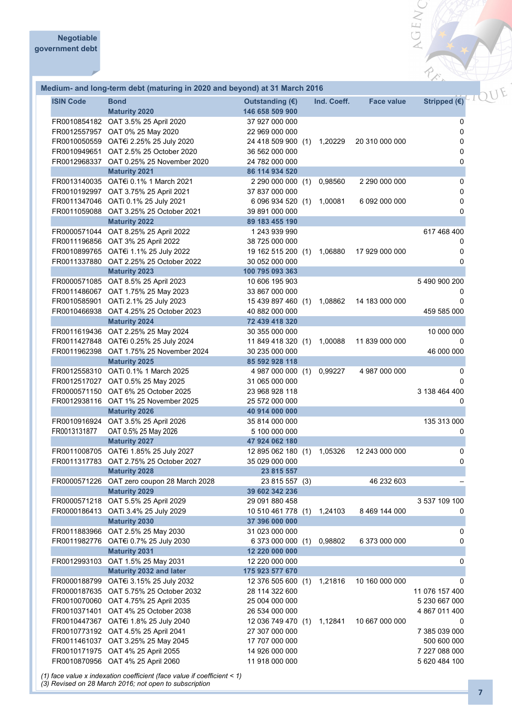| Medium- and long-term debt (maturing in 2020 and beyond) at 31 March 2016 |                                              |                                                                                                                                                                                             |                                                                                             |  |                    |                                |                                                                     |
|---------------------------------------------------------------------------|----------------------------------------------|---------------------------------------------------------------------------------------------------------------------------------------------------------------------------------------------|---------------------------------------------------------------------------------------------|--|--------------------|--------------------------------|---------------------------------------------------------------------|
|                                                                           | <b>ISIN Code</b>                             | <b>Bond</b><br><b>Maturity 2020</b>                                                                                                                                                         | Outstanding $(E)$<br>146 658 509 900                                                        |  | Ind. Coeff.        | <b>Face value</b>              | Stripped $(E)$                                                      |
|                                                                           | FR0010050559<br>FR0010949651<br>FR0012968337 | FR0010854182 OAT 3.5% 25 April 2020<br>FR0012557957 OAT 0% 25 May 2020<br>OAT€i 2.25% 25 July 2020<br>OAT 2.5% 25 October 2020<br>OAT 0.25% 25 November 2020                                | 37 927 000 000<br>22 969 000 000<br>24 418 509 900 (1)<br>36 562 000 000<br>24 782 000 000  |  | 1,20229            | 20 310 000 000                 | 0<br>0<br>$\pmb{0}$<br>0<br>$\pmb{0}$                               |
|                                                                           |                                              | <b>Maturity 2021</b>                                                                                                                                                                        | 86 114 934 520                                                                              |  |                    |                                |                                                                     |
|                                                                           | FR0013140035<br>FR0010192997                 | OAT€i 0.1% 1 March 2021<br>OAT 3.75% 25 April 2021<br>FR0011347046 OATi 0.1% 25 July 2021<br>FR0011059088 OAT 3.25% 25 October 2021                                                         | 2 290 000 000 (1)<br>37 837 000 000<br>6 096 934 520 (1)<br>39 891 000 000                  |  | 0,98560<br>1,00081 | 2 290 000 000<br>6 092 000 000 | 0<br>0<br>0<br>$\mathbf 0$                                          |
|                                                                           |                                              | <b>Maturity 2022</b>                                                                                                                                                                        | 89 183 455 190                                                                              |  |                    |                                |                                                                     |
|                                                                           |                                              | FR0000571044 OAT 8.25% 25 April 2022<br>FR0011196856 OAT 3% 25 April 2022<br>FR0010899765 OAT€i 1.1% 25 July 2022<br>FR0011337880 OAT 2.25% 25 October 2022                                 | 1 243 939 990<br>38 725 000 000<br>19 162 515 200 (1)<br>30 052 000 000                     |  | 1,06880            | 17 929 000 000                 | 617 468 400<br>0<br>0<br>0                                          |
|                                                                           | FR0010585901                                 | <b>Maturity 2023</b><br>FR0000571085 OAT 8.5% 25 April 2023<br>FR0011486067 OAT 1.75% 25 May 2023<br>OATi 2.1% 25 July 2023<br>OAT 4.25% 25 October 2023                                    | 100 795 093 363<br>10 606 195 903<br>33 867 000 000<br>15 439 897 460 (1)                   |  | 1.08862            | 14 183 000 000                 | 5 490 900 200<br>0<br>0<br>459 585 000                              |
|                                                                           | FR0010466938                                 | <b>Maturity 2024</b>                                                                                                                                                                        | 40 882 000 000<br>72 439 418 320                                                            |  |                    |                                |                                                                     |
|                                                                           | FR0011619436<br>FR0011427848<br>FR0011962398 | OAT 2.25% 25 May 2024<br>OAT€i 0.25% 25 July 2024<br>OAT 1.75% 25 November 2024<br><b>Maturity 2025</b>                                                                                     | 30 355 000 000<br>11 849 418 320 (1)<br>30 235 000 000<br>85 592 928 118                    |  | 1,00088            | 11 839 000 000                 | 10 000 000<br>46 000 000                                            |
|                                                                           | FR0012558310                                 | OATi 0.1% 1 March 2025<br>FR0012517027 OAT 0.5% 25 May 2025<br>FR0000571150 OAT 6% 25 October 2025<br>FR0012938116 OAT 1% 25 November 2025                                                  | 4 987 000 000 (1)<br>31 065 000 000<br>23 968 928 118<br>25 572 000 000                     |  | 0,99227            | 4 987 000 000                  | 0<br>0<br>3 138 464 400<br>0                                        |
|                                                                           | FR0013131877                                 | <b>Maturity 2026</b><br>FR0010916924 OAT 3.5% 25 April 2026<br>OAT 0.5% 25 May 2026<br><b>Maturity 2027</b>                                                                                 | 40 914 000 000<br>35 814 000 000<br>5 100 000 000<br>47 924 062 180                         |  |                    |                                | 135 313 000<br>0                                                    |
|                                                                           |                                              | FR0011008705 OAT€i 1.85% 25 July 2027<br>FR0011317783 OAT 2.75% 25 October 2027<br><b>Maturity 2028</b>                                                                                     | 12 895 062 180 (1)<br>35 029 000 000<br>23 815 557                                          |  | 1,05326            | 12 243 000 000                 | 0<br>$\pmb{0}$                                                      |
|                                                                           | FR0000571226                                 | OAT zero coupon 28 March 2028                                                                                                                                                               | 23 815 557 (3)                                                                              |  |                    | 46 232 603                     |                                                                     |
|                                                                           | FR0000571218<br>FR0000186413                 | <b>Maturity 2029</b><br>OAT 5.5% 25 April 2029<br>OATi 3.4% 25 July 2029<br><b>Maturity 2030</b>                                                                                            | 39 602 342 236<br>29 091 880 458<br>10 510 461 778 (1)<br>37 396 000 000                    |  | 1,24103            | 8 469 144 000                  | 3 537 109 100<br>0                                                  |
|                                                                           | FR0011883966<br>FR0011982776                 | OAT 2.5% 25 May 2030<br>OAT€i 0.7% 25 July 2030<br><b>Maturity 2031</b>                                                                                                                     | 31 023 000 000<br>6 373 000 000 (1)<br>12 220 000 000                                       |  | 0,98802            | 6 373 000 000                  | 0<br>0                                                              |
|                                                                           | FR0012993103                                 | OAT 1.5% 25 May 2031                                                                                                                                                                        | 12 220 000 000                                                                              |  |                    |                                | 0                                                                   |
|                                                                           | FR0000188799<br>FR0010371401                 | <b>Maturity 2032 and later</b><br>OAT€i 3.15% 25 July 2032<br>FR0000187635 OAT 5.75% 25 October 2032<br>FR0010070060 OAT 4.75% 25 April 2035<br>OAT 4% 25 October 2038                      | 175 923 577 670<br>12 376 505 600 (1)<br>28 114 322 600<br>25 004 000 000<br>26 534 000 000 |  | 1,21816            | 10 160 000 000                 | 0<br>11 076 157 400<br>5 230 667 000<br>4 867 011 400               |
|                                                                           |                                              | FR0010447367 OAT€i 1.8% 25 July 2040<br>FR0010773192 OAT 4.5% 25 April 2041<br>FR0011461037 OAT 3.25% 25 May 2045<br>FR0010171975 OAT 4% 25 April 2055<br>FR0010870956 OAT 4% 25 April 2060 | 12 036 749 470 (1)<br>27 307 000 000<br>17 707 000 000<br>14 926 000 000<br>11 918 000 000  |  | 1,12841            | 10 667 000 000                 | 0<br>7 385 039 000<br>500 600 000<br>7 227 088 000<br>5 620 484 100 |

*(1) face value x indexation coefficient (face value if coefficient < 1)*

*(3) Revised on 28 March 2016; not open to subscription*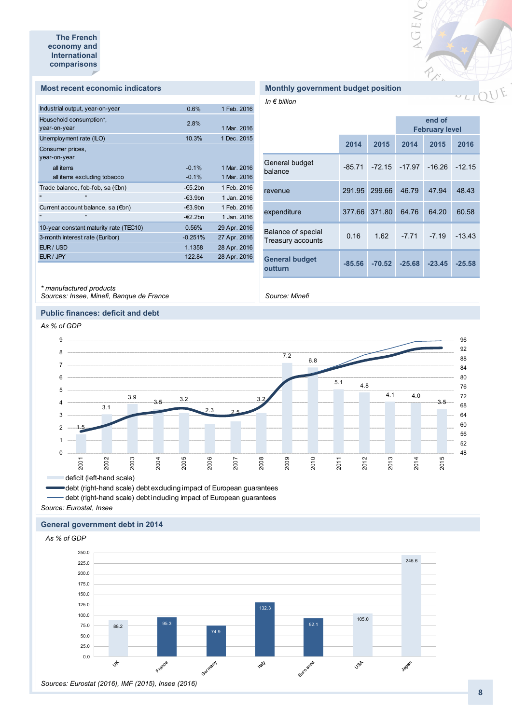#### **Most recent economic indicators**

| Industrial output, year-on-year        | 0.6%              | 1 Feb. 2016  |
|----------------------------------------|-------------------|--------------|
| Household consumption*,                |                   |              |
| year-on-year                           | 2.8%              | 1 Mar. 2016  |
| Unemployment rate (ILO)                | 10.3%             | 1 Dec. 2015  |
| Consumer prices,                       |                   |              |
| year-on-year                           |                   |              |
| all items                              | $-0.1%$           | 1 Mar. 2016  |
| all items excluding tobacco            | $-0.1%$           | 1 Mar. 2016  |
| Trade balance, fob-fob, sa (€bn)       | $-\epsilon$ 5.2bn | 1 Feb. 2016  |
| $\mathbf{u}$<br>$\bullet$              | $-\epsilon$ 3.9bn | 1 Jan. 2016  |
| Current account balance, sa (€bn)      | $-\epsilon$ 3.9bn | 1 Feb. 2016  |
| $\mathbf{u}$<br>$\mathbf{u}$           | $-\epsilon$ 2.2bn | 1 Jan. 2016  |
| 10-year constant maturity rate (TEC10) | 0.56%             | 29 Apr. 2016 |
| 3-month interest rate (Euribor)        | $-0.251%$         | 27 Apr. 2016 |
| EUR / USD                              | 1.1358            | 28 Apr. 2016 |
| EUR / JPY                              | 122.84            | 28 Apr. 2016 |
|                                        |                   |              |

#### **Monthly government budget position**

*In € billion*

*Source: Minefi*

|                                         |          |          |          | end of<br><b>February level</b> |          |
|-----------------------------------------|----------|----------|----------|---------------------------------|----------|
|                                         | 2014     | 2015     | 2014     | 2015                            | 2016     |
| General budget<br>balance               | $-85.71$ | $-72.15$ | $-17.97$ | $-16.26$                        | $-12.15$ |
| revenue                                 | 291.95   | 299.66   | 46.79    | 47.94                           | 48.43    |
| expenditure                             | 377.66   | 371.80   | 64.76    | 64.20                           | 60.58    |
| Balance of special<br>Treasury accounts | 0.16     | 1.62     | $-7.71$  | $-7.19$                         | $-13.43$ |
| <b>General budget</b><br>outturn        | $-85.56$ | $-70.52$ | $-25.68$ | $-23.45$                        | $-25.58$ |

VGENC

RES

*\* manufactured products Sources: Insee, Minefi, Banque de France*

#### **Public finances: deficit and debt**

#### *As % of GDP* 1.5 3.1 3.9  $3.5 - 3.2$  $2.3$ 3.2 7.2 6.8  $5.1$   $4.8$ 4.1 4.0 3.5 48 52 56 60 64 68 72 76 80 84 88 92 96 0 1 2 3 4 5 6 7 8  $9 -$ 2001 2002 2003 2004 2005 2006 2007 2008 2009 2010 2011 2012 2013 2014 2015 deficit (left-hand scale)

debt (right-hand scale) debt excluding impact of European guarantees debt (right-hand scale) debt including impact of European guarantees

*Source: Eurostat, Insee*

#### **General government debt in 2014**